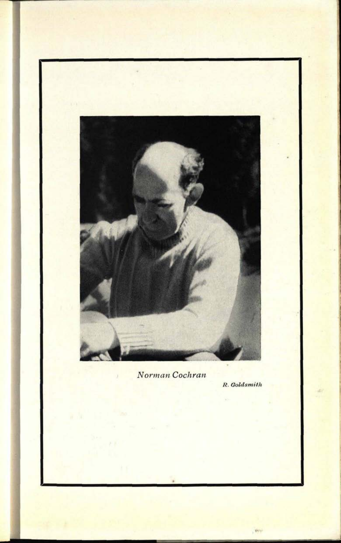

**31. 0513**

*Norman Cochran*

Ü,

*R. Goldsmith*

Very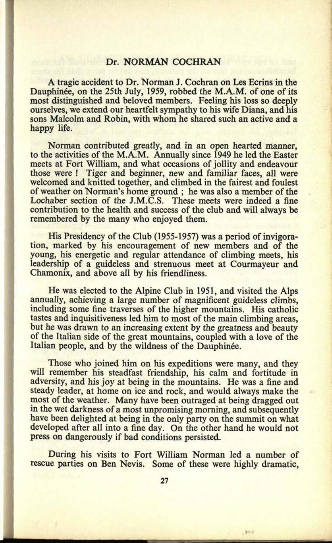## Dr. NORMAN COCHRAN

A tragic accident to Dr. Norman J. Cochran on Les Ecrins in the Dauphinée, on the 25th July, 1959, robbed the M.A.M. of one of its most distinguished and beloved members. Feeling his loss so deeply ourselves, we extend our heartfelt sympathy to his wife Diana, and his sons Malcolm and Robin, with whom he shared such an active and <sup>a</sup> happy life.

Norman contributed greatly, and in an open hearted manner, to the activities of the M.A.M. Annually since 1949 he led the Easter meets at Fort William, and what occasions of jollity and endeavour those were ! Tiger and beginner, new and familiar faces, all were welcomed and knitted together, and climbed in the fairest and foulest of weather on Norman's home ground ; he was also a member of the Lochaber section of the J.M.C.S. These meets were indeed a fine contribution to the health and success of the club and will always be remembered by the many who enjoyed them.

His Presidency of the Club (1955-1957) was a period of invigoration, marked by his encouragement of new members and of the young, his energetic and regular attendance of climbing meets, his leadership of a guideless and strenuous meet at Courmayeur and Chamonix, and above all by his friendliness.

He was elected to the Alpine Club in 1951, and visited the Alps annually, achieving a large number of magnificent guideless climbs, including some fine traverses of the higher mountains. His catholic tastes and inquisitiveness led him to most of the main climbing areas, but he was drawn to an increasing extent by the greatness and beauty of the Italian side of the great mountains, coupled with a love of the Italian people, and by the wildness of the Dauphinée.

Those who joined him on his expeditions were many, and they will remember his steadfast friendship, his calm and fortitude in adversity, and his joy at being in the mountains. He was a fine and steady leader, at home on ice and rock, and would always make the most of the weather. Many have been outraged at being dragged out in the wet darkness of a most unpromising morning, and subsequently have been delighted at being in the only party on the summit on what developed after all into a fine day. On the other hand he would not press on dangerously if bad conditions persisted.

During his visits to Fort William Norman led a number of rescue parties on Ben Nevis. Some of these were highly dramatic,

Write